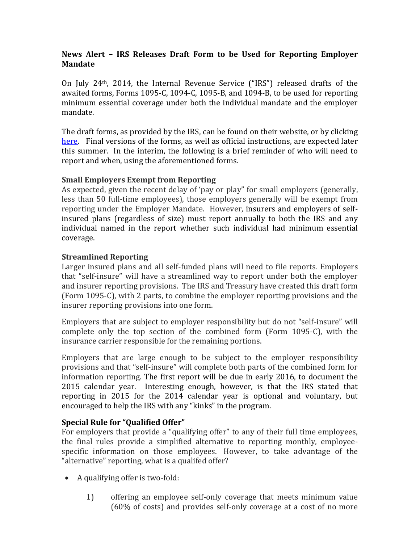## **News Alert – IRS Releases Draft Form to be Used for Reporting Employer Mandate**

On July 24th, 2014, the Internal Revenue Service ("IRS") released drafts of the awaited forms, Forms 1095-C, 1094-C, 1095-B, and 1094-B, to be used for reporting minimum essential coverage under both the individual mandate and the employer mandate.

The draft forms, as provided by the IRS, can be found on their website, or by clicking [here.](http://apps.irs.gov/app/picklist/list/draftTaxForms.html) Final versions of the forms, as well as official instructions, are expected later this summer. In the interim, the following is a brief reminder of who will need to report and when, using the aforementioned forms.

## **Small Employers Exempt from Reporting**

As expected, given the recent delay of 'pay or play" for small employers (generally, less than 50 full-time employees), those employers generally will be exempt from reporting under the Employer Mandate. However, insurers and employers of selfinsured plans (regardless of size) must report annually to both the IRS and any individual named in the report whether such individual had minimum essential coverage.

## **Streamlined Reporting**

Larger insured plans and all self-funded plans will need to file reports. Employers that "self-insure" will have a streamlined way to report under both the employer and insurer reporting provisions. The IRS and Treasury have created this draft form (Form 1095-C), with 2 parts, to combine the employer reporting provisions and the insurer reporting provisions into one form.

Employers that are subject to employer responsibility but do not "self-insure" will complete only the top section of the combined form (Form 1095-C), with the insurance carrier responsible for the remaining portions.

Employers that are large enough to be subject to the employer responsibility provisions and that "self-insure" will complete both parts of the combined form for information reporting. The first report will be due in early 2016, to document the 2015 calendar year. Interesting enough, however, is that the IRS stated that reporting in 2015 for the 2014 calendar year is optional and voluntary, but encouraged to help the IRS with any "kinks" in the program.

## **Special Rule for "Qualified Offer"**

For employers that provide a "qualifying offer" to any of their full time employees, the final rules provide a simplified alternative to reporting monthly, employeespecific information on those employees. However, to take advantage of the "alternative" reporting, what is a qualifed offer?

- A qualifying offer is two-fold:
	- 1) offering an employee self-only coverage that meets minimum value (60% of costs) and provides self-only coverage at a cost of no more